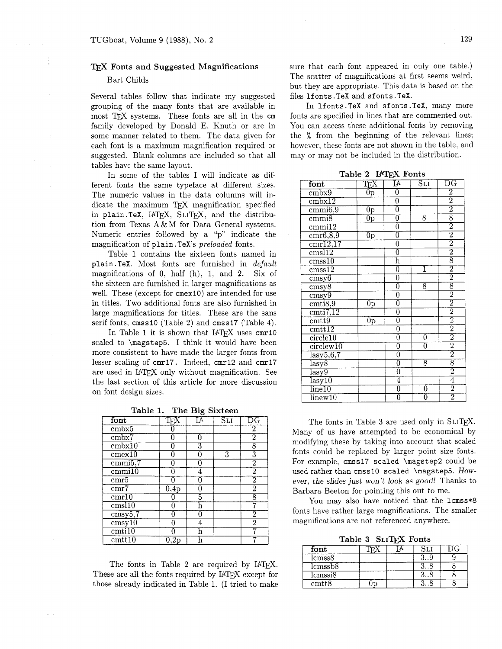## TFX Fonts and Suggested Magnifications

## Bart Childs

Several tables follow that indicate my suggested grouping of the many fonts that are available in most TFX systems. These fonts are all in the cm family developed by Donald E. Knuth or are in some manner related to them. The data given for each font is a maximum magnification required or suggested. Blank columns are included so that all tables have the same layout.

In some of the tables I will indicate as different fonts the same typeface at different sizes. The numeric values in the data columns will indicate the maximum TFX magnification specified in plain.TeX, IATFX, SLITFX, and the distribution from Texas A & M for Data General systems. Numeric entries followed by a "p" indicate the magnification of plain. TeX's *preloaded* fonts.

Table 1 contains the sixteen fonts named in plain. TeX. Most fonts are furnished in *default*  magnifications of *0.* half (h), 1, and 2. Six of the sixteen are furnished in larger magnifications as well. These (except for cmex10) are intended for use in titles. Two additional fonts are also furnished in large magnifications for titles. These are the sans serif fonts, cmss10 (Table 2) and cmss17 (Table 4).

In Table 1 it is shown that  $IATFX$  uses  $cmr10$ scaled to \magstep5. I think it would have been more consistent to have made the larger fonts from lesser scaling of cmr17. Indeed, cmr12 and cmr17 are used in IATFX only without magnification. See the last section of this article for more discussion on font design sizes.

Table 1. The Big Sixteen

| font                        |               | o<br>IА | $\overline{\mathtt{SLI}}$ | $_{\rm DG}$             |
|-----------------------------|---------------|---------|---------------------------|-------------------------|
| cmbx5                       |               |         |                           | 2                       |
| cmbx7                       |               | 0       |                           | $\overline{2}$          |
| cmbx10                      | 0             | 3       |                           | 8                       |
| $c$ mex $\overline{10}$     | O             |         | 3                         | $\overline{\textbf{3}}$ |
| $\overline{\text{cmmi}5,7}$ |               |         |                           | 2                       |
| $c$ mmi $10$                | በ             |         |                           | 2                       |
| cmr5                        |               |         |                           | $\overline{2}$          |
| cmr                         | $_{\rm 0,4p}$ | 0       |                           | $\overline{2}$          |
| cmr10                       | 0             | 5       |                           | 8                       |
| cms110                      | በ             | h       |                           |                         |
| $\overline{\text{cmsy5},7}$ | N             | 0       |                           | 2                       |
| $\overline{\text{cmsyl0}}$  | ก             | 4       |                           | $\overline{2}$          |
| $\overline{\text{cmti10}}$  |               | h       |                           |                         |
| $\mathrm{cm}$ t $10$        |               |         |                           |                         |

The fonts in Table 2 are required by IATFX. These are all the fonts required by IATFX except for those already indicated in Table 1. (I tried to make sure that each font appeared in only one table.) The scatter of magnifications at first seems weird, but they are appropriate. This data is based on the files 1fonts. TeX and sfonts. TeX.

In lfonts. TeX and sfonts. TeX, many more fonts are specified in lines that are commented out. You can access these additional fonts by removing the % from the beginning of the relevant lines: however, these fonts are not shown in the table, and may or may not be included in the distribution.

Table 2 **MTFX** Fonts

| font                                           | $\mathrm{T}_{\mathrm{E}}\!\mathrm{X}$ | $\overline{\text{I}\text{A}}$ | $\overline{\mathrm{SLI}}$ | $_{\rm DG}$                                                                                                                                                                                                                                                                                                         |
|------------------------------------------------|---------------------------------------|-------------------------------|---------------------------|---------------------------------------------------------------------------------------------------------------------------------------------------------------------------------------------------------------------------------------------------------------------------------------------------------------------|
| cmbx9                                          | $\rm \bar{0}p$                        | $\overline{0}$                |                           |                                                                                                                                                                                                                                                                                                                     |
| $\overline{\text{cmbx12}}$                     |                                       | $\overline{0}$                |                           |                                                                                                                                                                                                                                                                                                                     |
| $\overline{\text{cmm16,9}}$                    | $\frac{0}{0}$                         | $\overline{0}$                |                           | $\frac{1}{2}$ $\frac{1}{2}$ $\frac{1}{8}$ $\frac{1}{2}$ $\frac{1}{2}$ $\frac{1}{2}$ $\frac{1}{8}$ $\frac{1}{2}$ $\frac{1}{2}$ $\frac{1}{2}$ $\frac{1}{2}$ $\frac{1}{2}$ $\frac{1}{2}$ $\frac{1}{2}$ $\frac{1}{2}$ $\frac{1}{2}$ $\frac{1}{2}$ $\frac{1}{2}$ $\frac{1}{2}$ $\frac{1}{2}$ $\frac{1}{2}$ $\frac{1}{2}$ |
| cmmi8                                          |                                       | $\overline{0}$                | $\overline{8}$            |                                                                                                                                                                                                                                                                                                                     |
| $\overline{\text{cmm12}}$                      |                                       | $\frac{0}{0}$                 |                           |                                                                                                                                                                                                                                                                                                                     |
| $\overline{\text{cmr6,8,9}}$                   | 0p                                    |                               |                           |                                                                                                                                                                                                                                                                                                                     |
| $\overline{\text{cmr12,17}}$                   |                                       |                               |                           |                                                                                                                                                                                                                                                                                                                     |
| cmsl12                                         |                                       | $\overline{0}$                |                           |                                                                                                                                                                                                                                                                                                                     |
| $\overline{\text{cmss10}}$                     |                                       | $\overline{\mathrm{h}}$       |                           |                                                                                                                                                                                                                                                                                                                     |
| $\overline{\mathrm{cmss12}}$                   |                                       | $\overline{0}$                | 1                         |                                                                                                                                                                                                                                                                                                                     |
| $\overline{\text{cmsy6}}$                      |                                       | $\overline{0}$                |                           |                                                                                                                                                                                                                                                                                                                     |
| $\overline{\text{cmsy8}}$                      |                                       | $\overline{0}$                | $\overline{8}$            |                                                                                                                                                                                                                                                                                                                     |
| $\overline{\text{cmsy9}}$                      |                                       | $\overline{0}$                |                           |                                                                                                                                                                                                                                                                                                                     |
| $\overline{\text{cmi8,9}}$                     | $\overline{0}$                        | $\frac{0}{0}$                 |                           |                                                                                                                                                                                                                                                                                                                     |
| $\overline{\text{cmti7,12}}$                   |                                       |                               |                           |                                                                                                                                                                                                                                                                                                                     |
| $\overline{\text{cmtt9}}$                      | $0\mathrm{p}$                         |                               |                           |                                                                                                                                                                                                                                                                                                                     |
| $\overline{\text{cmtt12}}$                     |                                       | $\overline{0}$                |                           |                                                                                                                                                                                                                                                                                                                     |
| circle10                                       |                                       | $\overline{0}$                | $\overline{0}$            |                                                                                                                                                                                                                                                                                                                     |
| $circ$ lew $10$                                |                                       | $\overline{0}$                | $\overline{0}$            |                                                                                                                                                                                                                                                                                                                     |
| $\overline{\text{lasy5},6,7}$                  |                                       | $\overline{0}$                |                           |                                                                                                                                                                                                                                                                                                                     |
| $\overline{\text{lazy8}}$                      |                                       | $\overline{0}$                | $\overline{8}$            |                                                                                                                                                                                                                                                                                                                     |
| $_{\rm lasy9}$                                 |                                       | $\overline{0}$                |                           |                                                                                                                                                                                                                                                                                                                     |
| $\frac{\overline{\text{lasy}}}{\text{line10}}$ |                                       | $\frac{4}{0}$                 |                           |                                                                                                                                                                                                                                                                                                                     |
|                                                |                                       |                               | $\overline{0}$            |                                                                                                                                                                                                                                                                                                                     |
| $\overline{\lim_{\alpha u}10}$                 |                                       | $\overline{0}$                | ក                         |                                                                                                                                                                                                                                                                                                                     |

The fonts in Table 3 are used only in SLIT<sub>F</sub>X. Many of us have attempted to be economical by modifying these by taking into account that scaled fonts could be replaced by larger point size fonts. For example, cmssl7 scaled \magstep2 could be used rather than cmss10 scaled \magstep5. However, the slides just won't look as good! Thanks to Barbara Beeton for pointing this out to me.

You may also have noticed that the  $l$ cmss\*8 fonts have rather large magnifications. The smaller magnifications are not referenced anywhere.

Table 3 **SLIT@** Fonts

| font                      |  |  |
|---------------------------|--|--|
| $\text{lcmss8}$           |  |  |
| lcmssb <sub>8</sub>       |  |  |
| lcmssi8                   |  |  |
| $\mathrm{cm}t\mathrm{t}8$ |  |  |